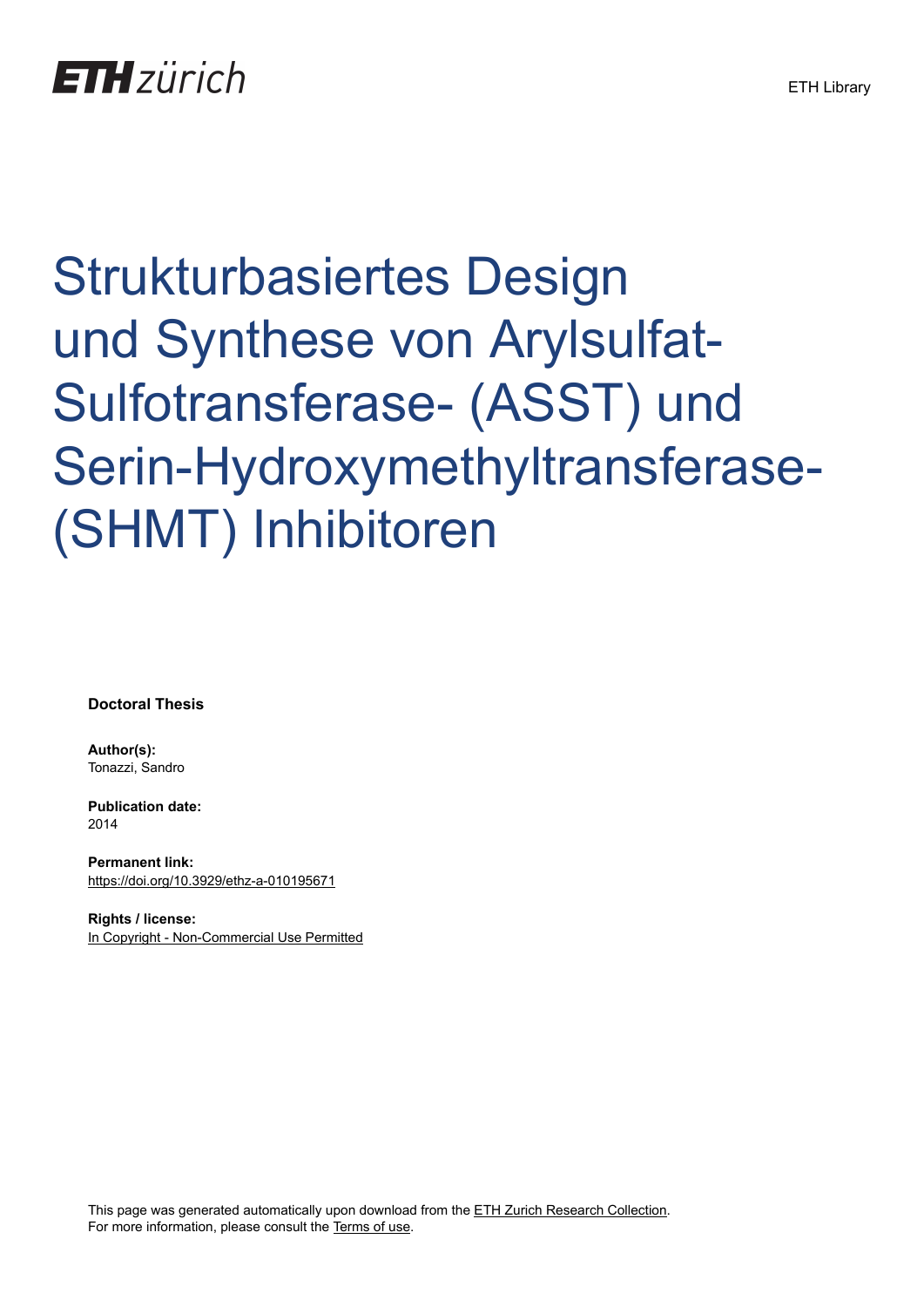# Strukturbasiertes Design und Synthese von Arylsulfat-Sulfotransferase- (ASST) und Serin-Hydroxymethyltransferase- (SHMT) Inhibitoren

**Doctoral Thesis**

**Author(s):** Tonazzi, Sandro

**Publication date:** 2014

**Permanent link:** <https://doi.org/10.3929/ethz-a-010195671>

**Rights / license:** [In Copyright - Non-Commercial Use Permitted](http://rightsstatements.org/page/InC-NC/1.0/)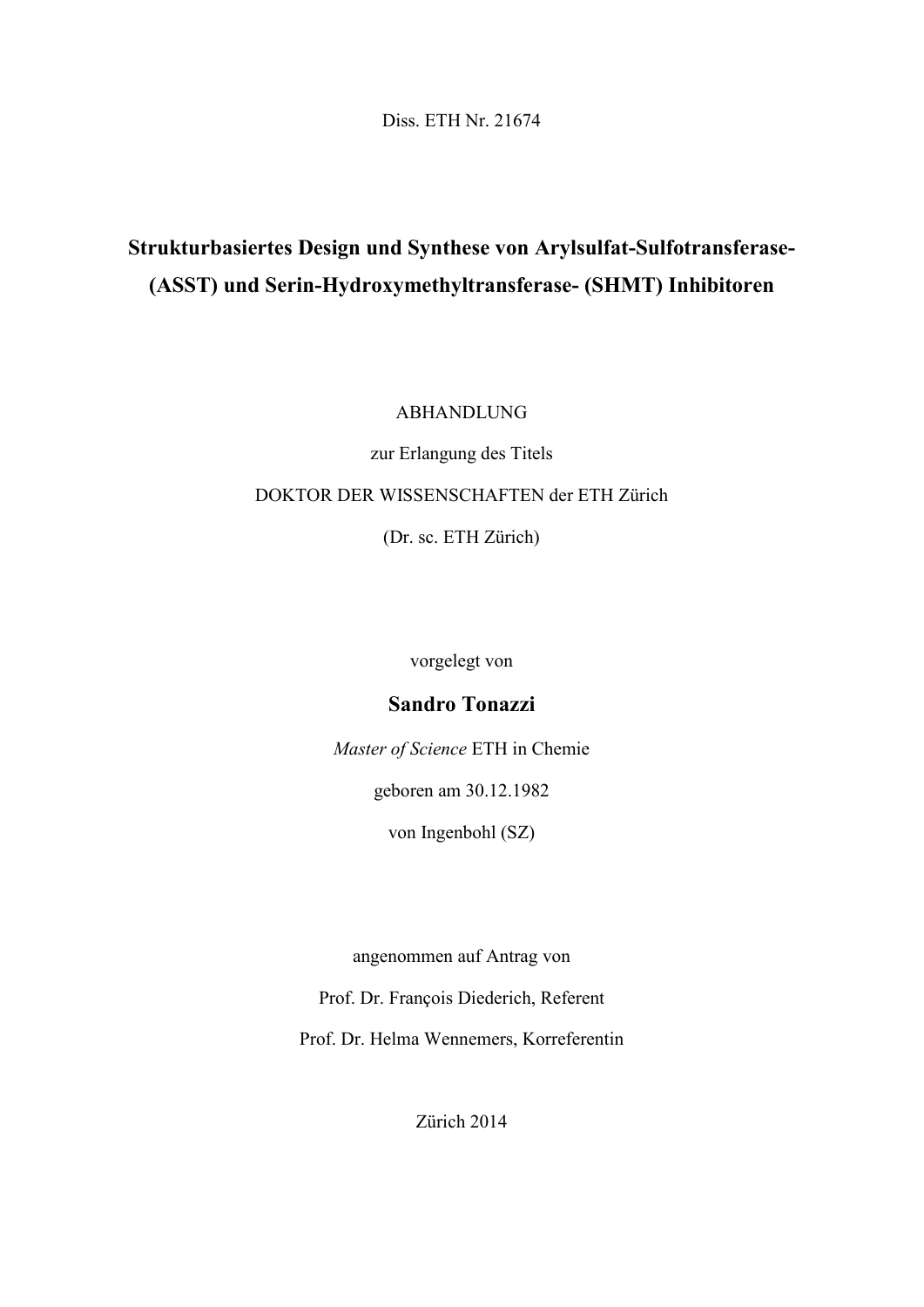Diss. ETH Nr. 21674

## **Strukturbasiertes Design und Synthese von Arylsulfat-Sulfotransferase- (ASST) und Serin-Hydroxymethyltransferase- (SHMT) Inhibitoren**

ABHANDLUNG

zur Erlangung des Titels DOKTOR DER WISSENSCHAFTEN der ETH Zürich (Dr. sc. ETH Zürich)

vorgelegt von

### **Sandro Tonazzi**

*Master of Science* ETH in Chemie

geboren am 30.12.1982

von Ingenbohl (SZ)

angenommen auf Antrag von

Prof. Dr. François Diederich, Referent

Prof. Dr. Helma Wennemers, Korreferentin

Zürich 2014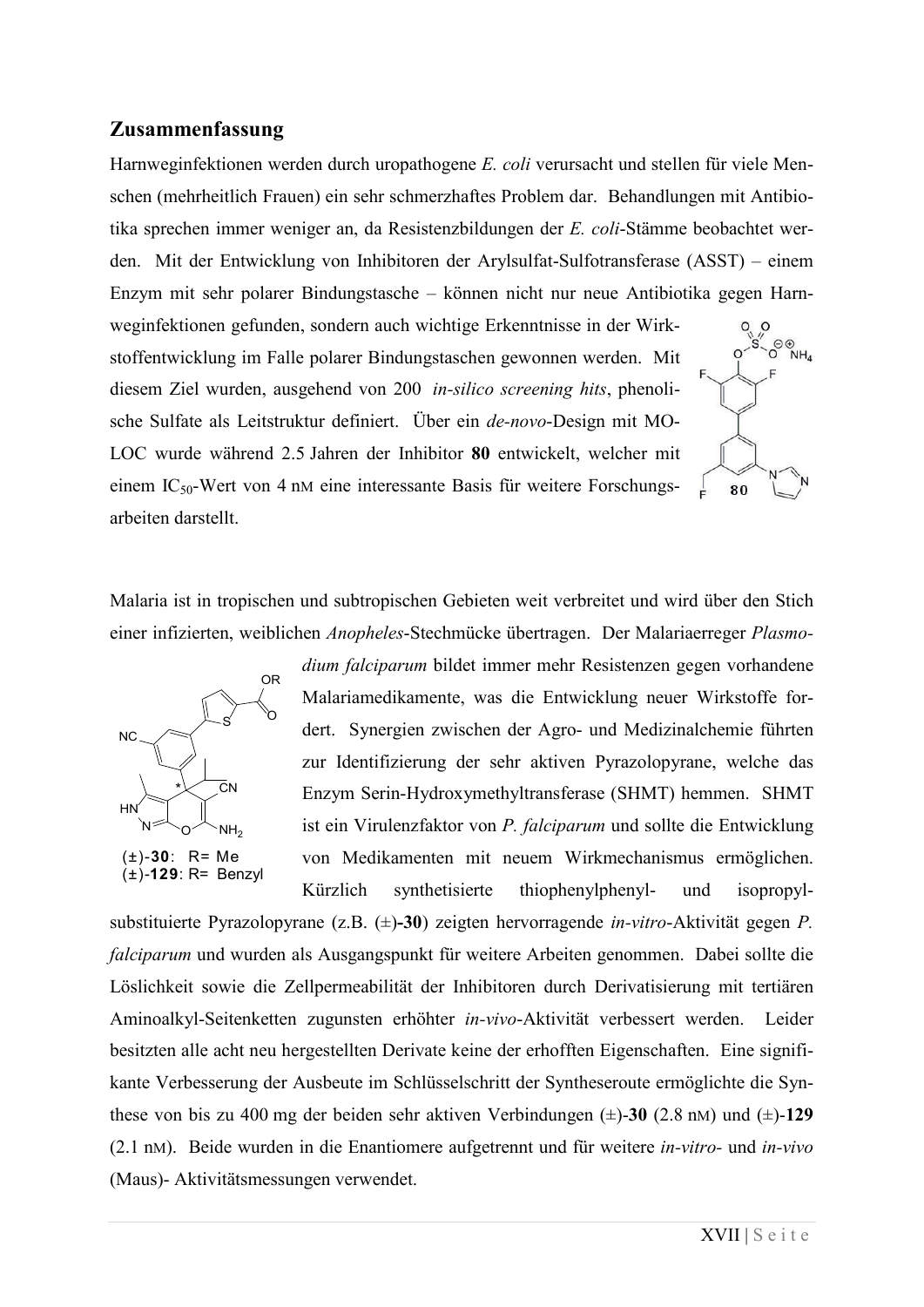#### **Zusammenfassung**

Harnweginfektionen werden durch uropathogene *E. coli* verursacht und stellen für viele Menschen (mehrheitlich Frauen) ein sehr schmerzhaftes Problem dar. Behandlungen mit Antibiotika sprechen immer weniger an, da Resistenzbildungen der *E. coli*-Stämme beobachtet werden. Mit der Entwicklung von Inhibitoren der Arylsulfat-Sulfotransferase (ASST) – einem Enzym mit sehr polarer Bindungstasche – können nicht nur neue Antibiotika gegen Harnweginfektionen gefunden, sondern auch wichtige Erkenntnisse in der Wirk- $O^{\bigoplus}$ <sub>NH</sub> stoffentwicklung im Falle polarer Bindungstaschen gewonnen werden. Mit

diesem Ziel wurden, ausgehend von 200 *in-silico screening hits*, phenolische Sulfate als Leitstruktur definiert. Über ein *de-novo*-Design mit MO-LOC wurde während 2.5 Jahren der Inhibitor **80** entwickelt, welcher mit einem IC50-Wert von 4 nM eine interessante Basis für weitere Forschungsarbeiten darstellt.

Malaria ist in tropischen und subtropischen Gebieten weit verbreitet und wird über den Stich einer infizierten, weiblichen *Anopheles*-Stechmücke übertragen. Der Malariaerreger *Plasmo-*



*dium falciparum* bildet immer mehr Resistenzen gegen vorhandene Malariamedikamente, was die Entwicklung neuer Wirkstoffe fordert. Synergien zwischen der Agro- und Medizinalchemie führten zur Identifizierung der sehr aktiven Pyrazolopyrane, welche das Enzym Serin-Hydroxymethyltransferase (SHMT) hemmen. SHMT ist ein Virulenzfaktor von *P. falciparum* und sollte die Entwicklung von Medikamenten mit neuem Wirkmechanismus ermöglichen. Kürzlich synthetisierte thiophenylphenyl- und isopropyl-

substituierte Pyrazolopyrane (z.B. (±)**-30**) zeigten hervorragende *in-vitro*-Aktivität gegen *P. falciparum* und wurden als Ausgangspunkt für weitere Arbeiten genommen. Dabei sollte die Löslichkeit sowie die Zellpermeabilität der Inhibitoren durch Derivatisierung mit tertiären Aminoalkyl-Seitenketten zugunsten erhöhter *in-vivo*-Aktivität verbessert werden. Leider besitzten alle acht neu hergestellten Derivate keine der erhofften Eigenschaften. Eine signifikante Verbesserung der Ausbeute im Schlüsselschritt der Syntheseroute ermöglichte die Synthese von bis zu 400 mg der beiden sehr aktiven Verbindungen (±)-**30** (2.8 nM) und (±)-**129** (2.1 nM). Beide wurden in die Enantiomere aufgetrennt und für weitere *in-vitro-* und *in-vivo* (Maus)- Aktivitätsmessungen verwendet.

80